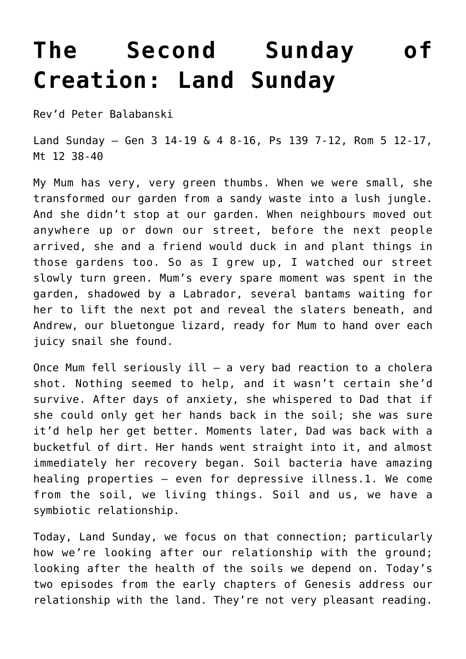## **[The Second Sunday of](http://stjohnsadelaide.org.au/the-second-sunday-of-creation-land-sunday/) [Creation: Land Sunday](http://stjohnsadelaide.org.au/the-second-sunday-of-creation-land-sunday/)**

Rev'd Peter Balabanski

Land Sunday – Gen 3 14-19 & 4 8-16, Ps 139 7-12, Rom 5 12-17, Mt 12 38-40

My Mum has very, very green thumbs. When we were small, she transformed our garden from a sandy waste into a lush jungle. And she didn't stop at our garden. When neighbours moved out anywhere up or down our street, before the next people arrived, she and a friend would duck in and plant things in those gardens too. So as I grew up, I watched our street slowly turn green. Mum's every spare moment was spent in the garden, shadowed by a Labrador, several bantams waiting for her to lift the next pot and reveal the slaters beneath, and Andrew, our bluetongue lizard, ready for Mum to hand over each juicy snail she found.

Once Mum fell seriously ill – a very bad reaction to a cholera shot. Nothing seemed to help, and it wasn't certain she'd survive. After days of anxiety, she whispered to Dad that if she could only get her hands back in the soil; she was sure it'd help her get better. Moments later, Dad was back with a bucketful of dirt. Her hands went straight into it, and almost immediately her recovery began. Soil bacteria have amazing healing properties – even for depressive illness.1. We come from the soil, we living things. Soil and us, we have a symbiotic relationship.

Today, Land Sunday, we focus on that connection; particularly how we're looking after our relationship with the ground; looking after the health of the soils we depend on. Today's two episodes from the early chapters of Genesis address our relationship with the land. They're not very pleasant reading.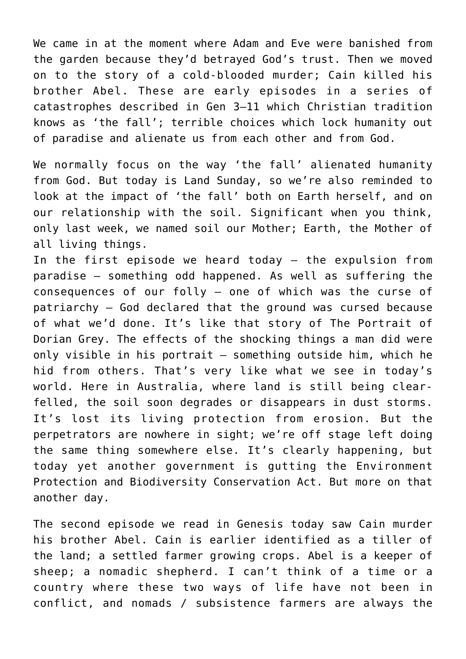We came in at the moment where Adam and Eve were banished from the garden because they'd betrayed God's trust. Then we moved on to the story of a cold-blooded murder; Cain killed his brother Abel. These are early episodes in a series of catastrophes described in Gen 3–11 which Christian tradition knows as 'the fall'; terrible choices which lock humanity out of paradise and alienate us from each other and from God.

We normally focus on the way 'the fall' alienated humanity from God. But today is Land Sunday, so we're also reminded to look at the impact of 'the fall' both on Earth herself, and on our relationship with the soil. Significant when you think, only last week, we named soil our Mother; Earth, the Mother of all living things.

In the first episode we heard today – the expulsion from paradise – something odd happened. As well as suffering the consequences of our folly – one of which was the curse of patriarchy – God declared that the ground was cursed because of what we'd done. It's like that story of The Portrait of Dorian Grey. The effects of the shocking things a man did were only visible in his portrait – something outside him, which he hid from others. That's very like what we see in today's world. Here in Australia, where land is still being clearfelled, the soil soon degrades or disappears in dust storms. It's lost its living protection from erosion. But the perpetrators are nowhere in sight; we're off stage left doing the same thing somewhere else. It's clearly happening, but today yet another government is gutting the Environment Protection and Biodiversity Conservation Act. But more on that another day.

The second episode we read in Genesis today saw Cain murder his brother Abel. Cain is earlier identified as a tiller of the land; a settled farmer growing crops. Abel is a keeper of sheep; a nomadic shepherd. I can't think of a time or a country where these two ways of life have not been in conflict, and nomads / subsistence farmers are always the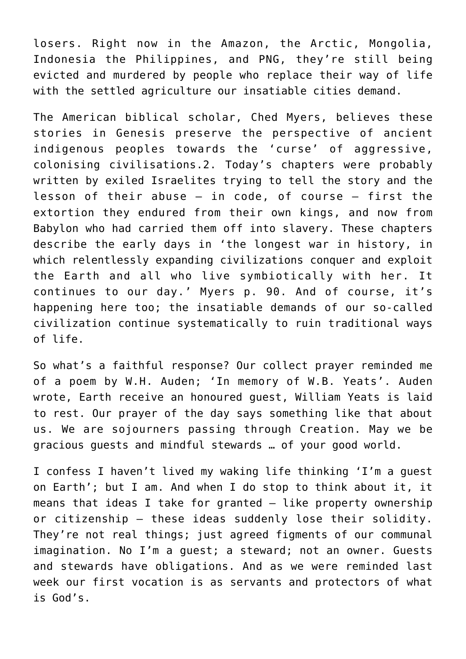losers. Right now in the Amazon, the Arctic, Mongolia, Indonesia the Philippines, and PNG, they're still being evicted and murdered by people who replace their way of life with the settled agriculture our insatiable cities demand.

The American biblical scholar, Ched Myers, believes these stories in Genesis preserve the perspective of ancient indigenous peoples towards the 'curse' of aggressive, colonising civilisations.2. Today's chapters were probably written by exiled Israelites trying to tell the story and the lesson of their abuse – in code, of course – first the extortion they endured from their own kings, and now from Babylon who had carried them off into slavery. These chapters describe the early days in 'the longest war in history, in which relentlessly expanding civilizations conquer and exploit the Earth and all who live symbiotically with her. It continues to our day.' Myers p. 90. And of course, it's happening here too; the insatiable demands of our so-called civilization continue systematically to ruin traditional ways of life.

So what's a faithful response? Our collect prayer reminded me of a poem by W.H. Auden; 'In memory of W.B. Yeats'. Auden wrote, Earth receive an honoured guest, William Yeats is laid to rest. Our prayer of the day says something like that about us. We are sojourners passing through Creation. May we be gracious guests and mindful stewards … of your good world.

I confess I haven't lived my waking life thinking 'I'm a guest on Earth'; but I am. And when I do stop to think about it, it means that ideas I take for granted  $-$  like property ownership or citizenship – these ideas suddenly lose their solidity. They're not real things; just agreed figments of our communal imagination. No I'm a guest; a steward; not an owner. Guests and stewards have obligations. And as we were reminded last week our first vocation is as servants and protectors of what is God's.